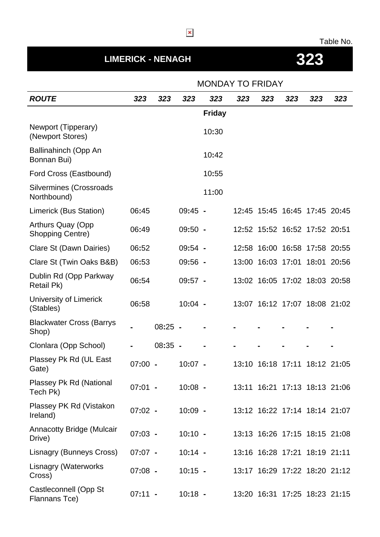## Table No.

## **LIMERICK - NENAGH 323**

|                                                     |           | <b>MONDAY TO FRIDAY</b> |           |               |     |                               |     |     |                               |
|-----------------------------------------------------|-----------|-------------------------|-----------|---------------|-----|-------------------------------|-----|-----|-------------------------------|
| <b>ROUTE</b>                                        | 323       | 323                     | 323       | 323           | 323 | 323                           | 323 | 323 | 323                           |
|                                                     |           |                         |           | <b>Friday</b> |     |                               |     |     |                               |
| Newport (Tipperary)<br>(Newport Stores)             |           |                         |           | 10:30         |     |                               |     |     |                               |
| Ballinahinch (Opp An<br>Bonnan Bui)                 |           |                         |           | 10:42         |     |                               |     |     |                               |
| Ford Cross (Eastbound)                              |           |                         |           | 10:55         |     |                               |     |     |                               |
| <b>Silvermines (Crossroads</b><br>Northbound)       |           |                         |           | 11:00         |     |                               |     |     |                               |
| Limerick (Bus Station)                              | 06:45     |                         | $09:45 -$ |               |     | 12:45 15:45 16:45 17:45 20:45 |     |     |                               |
| <b>Arthurs Quay (Opp</b><br><b>Shopping Centre)</b> | 06:49     |                         | $09:50 -$ |               |     | 12:52 15:52 16:52 17:52 20:51 |     |     |                               |
| Clare St (Dawn Dairies)                             | 06:52     |                         | $09:54 -$ |               |     | 12:58 16:00 16:58 17:58 20:55 |     |     |                               |
| Clare St (Twin Oaks B&B)                            | 06:53     |                         | $09:56 -$ |               |     | 13:00 16:03 17:01 18:01 20:56 |     |     |                               |
| Dublin Rd (Opp Parkway<br>Retail Pk)                | 06:54     |                         | $09:57 -$ |               |     | 13:02 16:05 17:02 18:03 20:58 |     |     |                               |
| University of Limerick<br>(Stables)                 | 06:58     |                         | $10:04 -$ |               |     |                               |     |     | 13:07 16:12 17:07 18:08 21:02 |
| <b>Blackwater Cross (Barrys</b><br>Shop)            |           | $08:25 -$               |           |               |     |                               |     |     |                               |
| Clonlara (Opp School)                               |           | $08:35 -$               |           |               |     |                               |     |     |                               |
| Plassey Pk Rd (UL East<br>Gate)                     | 07:00     |                         | 10:07     |               |     | 13:10 16:18 17:11 18:12 21:05 |     |     |                               |
| Plassey Pk Rd (National<br>Tech Pk)                 | $07:01 -$ |                         | $10:08 -$ |               |     |                               |     |     | 13:11 16:21 17:13 18:13 21:06 |
| Plassey PK Rd (Vistakon<br>Ireland)                 | $07:02 -$ |                         | $10:09 -$ |               |     |                               |     |     | 13:12 16:22 17:14 18:14 21:07 |
| <b>Annacotty Bridge (Mulcair</b><br>Drive)          | $07:03 -$ |                         | $10:10 -$ |               |     |                               |     |     | 13:13 16:26 17:15 18:15 21:08 |
| Lisnagry (Bunneys Cross)                            | $07:07 -$ |                         | $10:14 -$ |               |     | 13:16 16:28 17:21 18:19 21:11 |     |     |                               |
| Lisnagry (Waterworks<br>Cross)                      | $07:08 -$ |                         | $10:15 -$ |               |     | 13:17 16:29 17:22 18:20 21:12 |     |     |                               |
| Castleconnell (Opp St<br>Flannans Tce)              | $07:11 -$ |                         | $10:18 -$ |               |     |                               |     |     | 13:20 16:31 17:25 18:23 21:15 |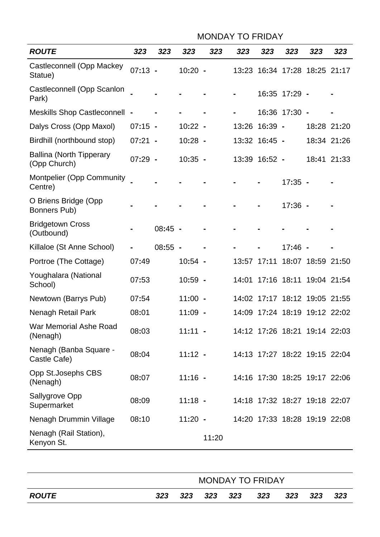|                                                 | <b>MONDAY TO FRIDAY</b> |           |           |       |       |               |                               |                   |             |
|-------------------------------------------------|-------------------------|-----------|-----------|-------|-------|---------------|-------------------------------|-------------------|-------------|
| <b>ROUTE</b>                                    | 323                     | 323       | 323       | 323   | 323   | 323           | 323                           | 323               | 323         |
| Castleconnell (Opp Mackey<br>Statue)            | $07:13 -$               |           | $10:20 -$ |       |       |               | 13:23 16:34 17:28 18:25 21:17 |                   |             |
| Castleconnell (Opp Scanlon<br>Park)             |                         |           |           |       |       |               | 16:35 17:29 -                 |                   |             |
| Meskills Shop Castleconnell -                   |                         |           |           |       |       |               | 16:36 17:30 -                 |                   |             |
| Dalys Cross (Opp Maxol)                         | $07:15 -$               |           | $10:22 -$ |       | 13:26 | 16:39 -       |                               |                   | 18:28 21:20 |
| Birdhill (northbound stop)                      | $07:21 -$               |           | $10:28 -$ |       |       | 13:32 16:45 - |                               |                   | 18:34 21:26 |
| <b>Ballina (North Tipperary</b><br>(Opp Church) | $07:29 -$               |           | $10:35 -$ |       |       | 13:39 16:52 - |                               |                   | 18:41 21:33 |
| <b>Montpelier (Opp Community</b><br>Centre)     |                         |           |           |       |       |               | $17:35 -$                     |                   |             |
| O Briens Bridge (Opp<br>Bonners Pub)            |                         |           |           |       |       |               | $17:36 -$                     |                   |             |
| <b>Bridgetown Cross</b><br>(Outbound)           |                         | $08:45 -$ |           |       |       |               |                               |                   |             |
| Killaloe (St Anne School)                       |                         | $08:55 -$ |           |       |       |               | $17:46 -$                     |                   |             |
| Portroe (The Cottage)                           | 07:49                   |           | $10:54 -$ |       | 13:57 | 17:11         |                               | 18:07 18:59 21:50 |             |
| Youghalara (National<br>School)                 | 07:53                   |           | $10:59 -$ |       | 14:01 |               | 17:16 18:11 19:04 21:54       |                   |             |
| Newtown (Barrys Pub)                            | 07:54                   |           | $11:00 -$ |       |       |               | 14:02 17:17 18:12 19:05 21:55 |                   |             |
| <b>Nenagh Retail Park</b>                       | 08:01                   |           | $11:09 -$ |       |       |               | 14:09 17:24 18:19 19:12 22:02 |                   |             |
| War Memorial Ashe Road<br>(Nenagh)              | 08:03                   |           | $11:11 -$ |       |       |               | 14:12 17:26 18:21 19:14 22:03 |                   |             |
| Nenagh (Banba Square -<br>Castle Cafe)          | 08:04                   |           | $11:12 -$ |       |       |               | 14:13 17:27 18:22 19:15 22:04 |                   |             |
| Opp St.Josephs CBS<br>(Nenagh)                  | 08:07                   |           | $11:16 -$ |       |       |               | 14:16 17:30 18:25 19:17 22:06 |                   |             |
| Sallygrove Opp<br>Supermarket                   | 08:09                   |           | $11:18 -$ |       |       |               | 14:18 17:32 18:27 19:18 22:07 |                   |             |
| Nenagh Drummin Village                          | 08:10                   |           | $11:20 -$ |       |       |               | 14:20 17:33 18:28 19:19 22:08 |                   |             |
| Nenagh (Rail Station),<br>Kenyon St.            |                         |           |           | 11:20 |       |               |                               |                   |             |
|                                                 |                         |           |           |       |       |               |                               |                   |             |

|                     | <b>MONDAY TO FRIDAY</b> |     |  |         |     |      |     |       |  |
|---------------------|-------------------------|-----|--|---------|-----|------|-----|-------|--|
| <i><b>ROUTE</b></i> | 323                     | 323 |  | 323 323 | 323 | -323 | 323 | - 323 |  |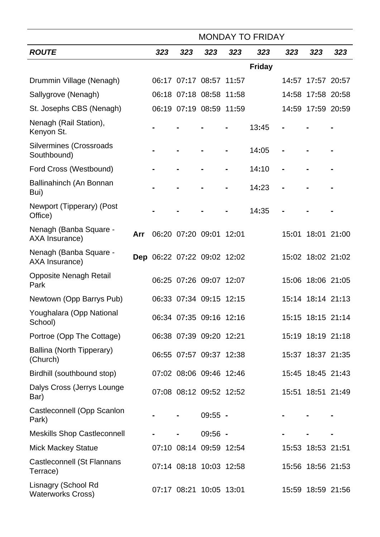|                                                 | <b>MONDAY TO FRIDAY</b> |                             |     |                         |     |               |     |                   |     |
|-------------------------------------------------|-------------------------|-----------------------------|-----|-------------------------|-----|---------------|-----|-------------------|-----|
| <b>ROUTE</b>                                    |                         | 323                         | 323 | 323                     | 323 | 323           | 323 | 323               | 323 |
|                                                 |                         |                             |     |                         |     | <b>Friday</b> |     |                   |     |
| Drummin Village (Nenagh)                        |                         |                             |     | 06:17 07:17 08:57 11:57 |     |               |     | 14:57 17:57 20:57 |     |
| Sallygrove (Nenagh)                             |                         |                             |     | 06:18 07:18 08:58 11:58 |     |               |     | 14:58 17:58 20:58 |     |
| St. Josephs CBS (Nenagh)                        |                         |                             |     | 06:19 07:19 08:59 11:59 |     |               |     | 14:59 17:59 20:59 |     |
| Nenagh (Rail Station),<br>Kenyon St.            |                         |                             |     |                         |     | 13:45         |     |                   |     |
| <b>Silvermines (Crossroads</b><br>Southbound)   |                         |                             |     |                         |     | 14:05         |     |                   |     |
| Ford Cross (Westbound)                          |                         |                             |     |                         |     | 14:10         |     |                   |     |
| Ballinahinch (An Bonnan<br>Bui)                 |                         |                             |     |                         |     | 14:23         |     |                   |     |
| Newport (Tipperary) (Post<br>Office)            |                         |                             |     |                         |     | 14:35         |     |                   |     |
| Nenagh (Banba Square -<br>AXA Insurance)        | Arr                     |                             |     | 06:20 07:20 09:01 12:01 |     |               |     | 15:01 18:01 21:00 |     |
| Nenagh (Banba Square -<br>AXA Insurance)        |                         | Dep 06:22 07:22 09:02 12:02 |     |                         |     |               |     | 15:02 18:02 21:02 |     |
| <b>Opposite Nenagh Retail</b><br>Park           |                         |                             |     | 06:25 07:26 09:07 12:07 |     |               |     | 15:06 18:06 21:05 |     |
| Newtown (Opp Barrys Pub)                        |                         |                             |     | 06:33 07:34 09:15 12:15 |     |               |     | 15:14 18:14 21:13 |     |
| Youghalara (Opp National<br>School)             |                         |                             |     | 06:34 07:35 09:16 12:16 |     |               |     | 15:15 18:15 21:14 |     |
| Portroe (Opp The Cottage)                       |                         |                             |     | 06:38 07:39 09:20 12:21 |     |               |     | 15:19 18:19 21:18 |     |
| Ballina (North Tipperary)<br>(Church)           |                         |                             |     | 06:55 07:57 09:37 12:38 |     |               |     | 15:37 18:37 21:35 |     |
| Birdhill (southbound stop)                      |                         |                             |     | 07:02 08:06 09:46 12:46 |     |               |     | 15:45 18:45 21:43 |     |
| Dalys Cross (Jerrys Lounge<br>Bar)              |                         |                             |     | 07:08 08:12 09:52 12:52 |     |               |     | 15:51 18:51 21:49 |     |
| Castleconnell (Opp Scanlon<br>Park)             |                         |                             |     | $09:55 -$               |     |               |     |                   |     |
| <b>Meskills Shop Castleconnell</b>              |                         |                             |     | $09:56 -$               |     |               |     |                   |     |
| <b>Mick Mackey Statue</b>                       |                         |                             |     | 07:10 08:14 09:59 12:54 |     |               |     | 15:53 18:53 21:51 |     |
| Castleconnell (St Flannans<br>Terrace)          |                         |                             |     | 07:14 08:18 10:03 12:58 |     |               |     | 15:56 18:56 21:53 |     |
| Lisnagry (School Rd<br><b>Waterworks Cross)</b> |                         |                             |     | 07:17 08:21 10:05 13:01 |     |               |     | 15:59 18:59 21:56 |     |